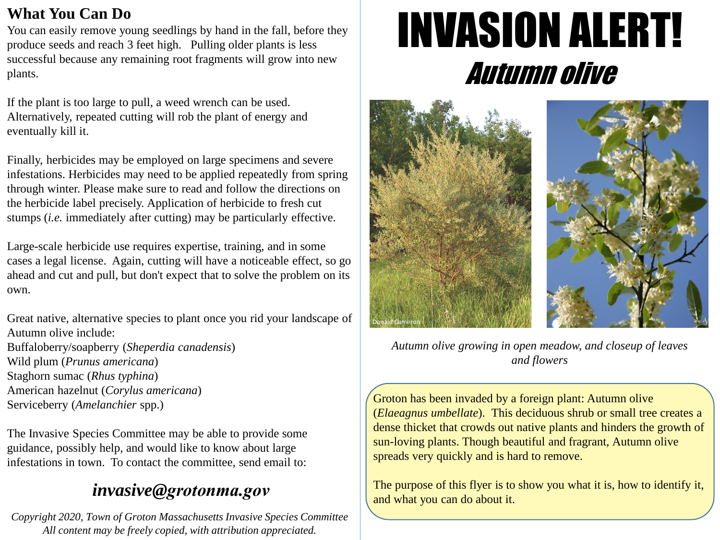### **What You Can Do**

You can easily remove young seedlings by hand in the fall, before they produce seeds and reach 3 feet high. Pulling older plants is less successful because any remaining root fragments will grow into new plants.

If the plant is too large to pull, a weed wrench can be used. Alternatively, repeated cutting will rob the plant of energy and eventually kill it.

Finally, herbicides may be employed on large specimens and severe infestations. Herbicides may need to be applied repeatedly from spring through winter. Please make sure to read and follow the directions on the herbicide label precisely. Application of herbicide to fresh cut stumps (*i.e.* immediately after cutting) may be particularly effective.

Large-scale herbicide use requires expertise, training, and in some cases a legal license. Again, cutting will have a noticeable effect, so go ahead and cut and pull, but don't expect that to solve the problem on its own.

Great native, alternative species to plant once you rid your landscape of Autumn olive include: Buffaloberry/soapberry (*Sheperdia canadensis*) Wild plum (*Prunus americana*) Staghorn sumac (*Rhus typhina*) American hazelnut (*Corylus americana*) Serviceberry (*Amelanchier* spp.)

The Invasive Species Committee may be able to provide some guidance, possibly help, and would like to know about large infestations in town. To contact the committee, send email to:

## *invasive@grotonma.gov*

*Copyright 2020, Town of Groton Massachusetts Invasive Species Committee All content may be freely copied, with attribution appreciated.*

# INVASION ALERT! Autumn olive



*Autumn olive growing in open meadow, and closeup of leaves and flowers*

Groton has been invaded by a foreign plant: Autumn olive (*Elaeagnus umbellate*). This deciduous shrub or small tree creates a dense thicket that crowds out native plants and hinders the growth of sun-loving plants. Though beautiful and fragrant, Autumn olive spreads very quickly and is hard to remove.

The purpose of this flyer is to show you what it is, how to identify it, and what you can do about it.